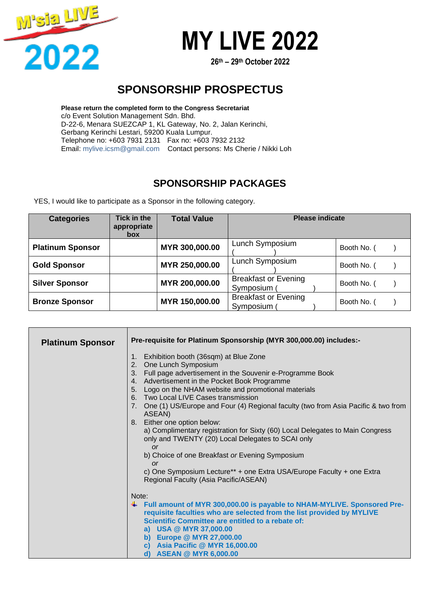

**26 th – 29 th October 2022**

### **SPONSORSHIP PROSPECTUS**

**Please return the completed form to the Congress Secretariat** c/o Event Solution Management Sdn. Bhd. D-22-6, Menara SUEZCAP 1, KL Gateway, No. 2, Jalan Kerinchi, Gerbang Kerinchi Lestari, 59200 Kuala Lumpur. Telephone no: +603 7931 2131 Fax no: +603 7932 2132 Email: mylive.icsm@gmail.com Contact persons: Ms Cherie / Nikki Loh

### **SPONSORSHIP PACKAGES**

YES, I would like to participate as a Sponsor in the following category.

| <b>Categories</b>       | <b>Tick in the</b><br>appropriate<br><b>box</b> | <b>Total Value</b> | <b>Please indicate</b>                   |             |
|-------------------------|-------------------------------------------------|--------------------|------------------------------------------|-------------|
| <b>Platinum Sponsor</b> |                                                 | MYR 300,000.00     | Lunch Symposium                          | Booth No. ( |
| <b>Gold Sponsor</b>     |                                                 | MYR 250,000.00     | Lunch Symposium                          | Booth No. ( |
| <b>Silver Sponsor</b>   |                                                 | MYR 200,000.00     | <b>Breakfast or Evening</b><br>Symposium | Booth No. ( |
| <b>Bronze Sponsor</b>   |                                                 | MYR 150,000.00     | <b>Breakfast or Evening</b><br>Symposium | Booth No. ( |

| <b>Platinum Sponsor</b> | Pre-requisite for Platinum Sponsorship (MYR 300,000.00) includes:-                                                                                                                                                                                                                                                                                                                                                                                                                                                                                                                                                                                                                                                                                                   |  |  |
|-------------------------|----------------------------------------------------------------------------------------------------------------------------------------------------------------------------------------------------------------------------------------------------------------------------------------------------------------------------------------------------------------------------------------------------------------------------------------------------------------------------------------------------------------------------------------------------------------------------------------------------------------------------------------------------------------------------------------------------------------------------------------------------------------------|--|--|
|                         | Exhibition booth (36sqm) at Blue Zone<br>1.<br>2. One Lunch Symposium<br>3. Full page advertisement in the Souvenir e-Programme Book<br>4. Advertisement in the Pocket Book Programme<br>Logo on the NHAM website and promotional materials<br>5 <sub>1</sub><br>6. Two Local LIVE Cases transmission<br>7. One (1) US/Europe and Four (4) Regional faculty (two from Asia Pacific & two from<br>ASEAN)<br>8. Either one option below:<br>a) Complimentary registration for Sixty (60) Local Delegates to Main Congress<br>only and TWENTY (20) Local Delegates to SCAI only<br>or<br>b) Choice of one Breakfast or Evening Symposium<br><b>or</b><br>c) One Symposium Lecture** + one Extra USA/Europe Faculty + one Extra<br>Regional Faculty (Asia Pacific/ASEAN) |  |  |
|                         | Note:<br>↓ Full amount of MYR 300,000.00 is payable to NHAM-MYLIVE. Sponsored Pre-<br>requisite faculties who are selected from the list provided by MYLIVE<br>Scientific Committee are entitled to a rebate of:<br>a) USA @ MYR 37,000.00<br>b) Europe @ MYR 27,000.00<br>c) Asia Pacific @ MYR 16,000.00<br>d) ASEAN @ MYR 6,000.00                                                                                                                                                                                                                                                                                                                                                                                                                                |  |  |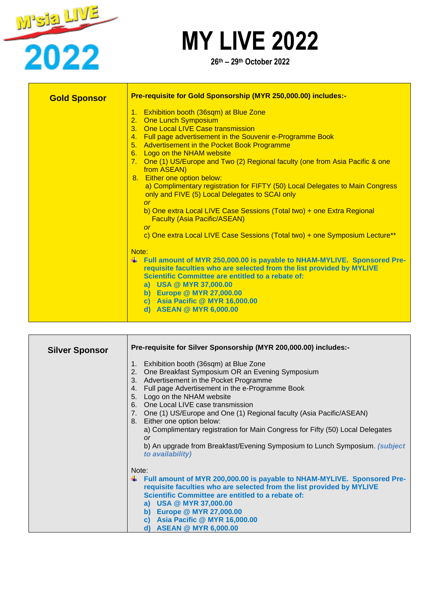

**26 th – 29 th October 2022**

| <b>Gold Sponsor</b> | Pre-requisite for Gold Sponsorship (MYR 250,000.00) includes:-                                                                                                                                                                                                                                                                                                                                                                                                                                                                                                                                                                                                                                                                                       |  |  |
|---------------------|------------------------------------------------------------------------------------------------------------------------------------------------------------------------------------------------------------------------------------------------------------------------------------------------------------------------------------------------------------------------------------------------------------------------------------------------------------------------------------------------------------------------------------------------------------------------------------------------------------------------------------------------------------------------------------------------------------------------------------------------------|--|--|
|                     | 1. Exhibition booth (36sqm) at Blue Zone<br>2. One Lunch Symposium<br>3. One Local LIVE Case transmission<br>4. Full page advertisement in the Souvenir e-Programme Book<br>5. Advertisement in the Pocket Book Programme<br>6. Logo on the NHAM website<br>7. One (1) US/Europe and Two (2) Regional faculty (one from Asia Pacific & one<br>from ASEAN)<br>8. Either one option below:<br>a) Complimentary registration for FIFTY (50) Local Delegates to Main Congress<br>only and FIVE (5) Local Delegates to SCAI only<br>$\alpha$<br>b) One extra Local LIVE Case Sessions (Total two) + one Extra Regional<br><b>Faculty (Asia Pacific/ASEAN)</b><br><b>or</b><br>c) One extra Local LIVE Case Sessions (Total two) + one Symposium Lecture** |  |  |
|                     | Note:<br>Full amount of MYR 250,000.00 is payable to NHAM-MYLIVE. Sponsored Pre-<br>₩.<br>requisite faculties who are selected from the list provided by MYLIVE<br><b>Scientific Committee are entitled to a rebate of:</b><br>a) USA @ MYR 37,000.00<br>b) Europe @ MYR 27,000.00<br>c) Asia Pacific @ MYR 16,000.00<br><b>ASEAN @ MYR 6,000.00</b><br>d)                                                                                                                                                                                                                                                                                                                                                                                           |  |  |

| <b>Silver Sponsor</b> | Pre-requisite for Silver Sponsorship (MYR 200,000.00) includes:-                                                                                                                                                                                                                                                                                                                                                                                                                                                                                                                                |
|-----------------------|-------------------------------------------------------------------------------------------------------------------------------------------------------------------------------------------------------------------------------------------------------------------------------------------------------------------------------------------------------------------------------------------------------------------------------------------------------------------------------------------------------------------------------------------------------------------------------------------------|
|                       | Exhibition booth (36sqm) at Blue Zone<br>1.<br>One Breakfast Symposium OR an Evening Symposium<br>2.<br>Advertisement in the Pocket Programme<br>3.<br>Full page Advertisement in the e-Programme Book<br>4.<br>5.<br>Logo on the NHAM website<br>One Local LIVE case transmission<br>6.<br>7. One (1) US/Europe and One (1) Regional faculty (Asia Pacific/ASEAN)<br>Either one option below:<br>8.<br>a) Complimentary registration for Main Congress for Fifty (50) Local Delegates<br>or<br>b) An upgrade from Breakfast/Evening Symposium to Lunch Symposium. (subject<br>to availability) |
|                       | Note:<br>Full amount of MYR 200,000.00 is payable to NHAM-MYLIVE. Sponsored Pre-<br>requisite faculties who are selected from the list provided by MYLIVE<br>Scientific Committee are entitled to a rebate of:<br>a) USA @ MYR 37,000.00<br>b) Europe @ MYR 27,000.00<br>c) Asia Pacific @ MYR 16,000.00<br><b>ASEAN @ MYR 6,000.00</b><br>d)                                                                                                                                                                                                                                                   |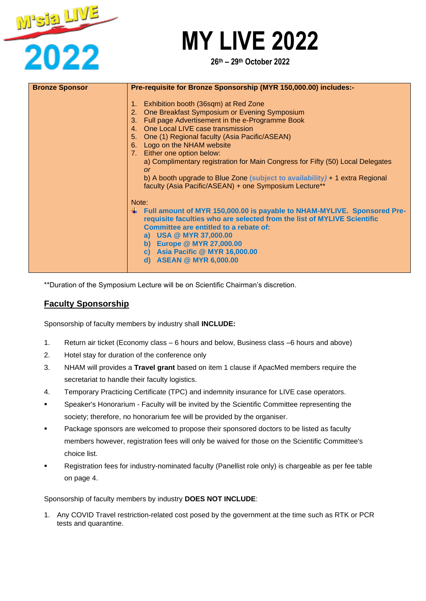

**26 th – 29 th October 2022**

| <b>Bronze Sponsor</b> | Pre-requisite for Bronze Sponsorship (MYR 150,000.00) includes:-                                                                                                                                                                                                                                                                                                                                                                                                                                                                                            |
|-----------------------|-------------------------------------------------------------------------------------------------------------------------------------------------------------------------------------------------------------------------------------------------------------------------------------------------------------------------------------------------------------------------------------------------------------------------------------------------------------------------------------------------------------------------------------------------------------|
|                       | Exhibition booth (36sqm) at Red Zone<br>2. One Breakfast Symposium or Evening Symposium<br>Full page Advertisement in the e-Programme Book<br>$3_{-}$<br>4. One Local LIVE case transmission<br>5. One (1) Regional faculty (Asia Pacific/ASEAN)<br>Logo on the NHAM website<br>6.<br>7. Either one option below:<br>a) Complimentary registration for Main Congress for Fifty (50) Local Delegates<br><b>or</b><br>b) A booth upgrade to Blue Zone (subject to availability) $+1$ extra Regional<br>faculty (Asia Pacific/ASEAN) + one Symposium Lecture** |
|                       | Note:<br>Full amount of MYR 150,000.00 is payable to NHAM-MYLIVE. Sponsored Pre-<br>requisite faculties who are selected from the list of MYLIVE Scientific<br>Committee are entitled to a rebate of:<br>a) USA @ MYR 37,000.00<br>b) Europe @ MYR 27,000.00<br>c) Asia Pacific @ MYR 16,000.00<br>d) ASEAN @ MYR 6,000.00                                                                                                                                                                                                                                  |

\*\*Duration of the Symposium Lecture will be on Scientific Chairman's discretion.

### **Faculty Sponsorship**

Sponsorship of faculty members by industry shall **INCLUDE:**

- 1. Return air ticket (Economy class 6 hours and below, Business class –6 hours and above)
- 2. Hotel stay for duration of the conference only
- 3. NHAM will provides a **Travel grant** based on item 1 clause if ApacMed members require the secretariat to handle their faculty logistics.
- 4. Temporary Practicing Certificate (TPC) and indemnity insurance for LIVE case operators.
- Speaker's Honorarium Faculty will be invited by the Scientific Committee representing the society; therefore, no honorarium fee will be provided by the organiser.
- Package sponsors are welcomed to propose their sponsored doctors to be listed as faculty members however, registration fees will only be waived for those on the Scientific Committee's choice list.
- Registration fees for industry-nominated faculty (Panellist role only) is chargeable as per fee table on page 4.

Sponsorship of faculty members by industry **DOES NOT INCLUDE**:

1. Any COVID Travel restriction-related cost posed by the government at the time such as RTK or PCR tests and quarantine.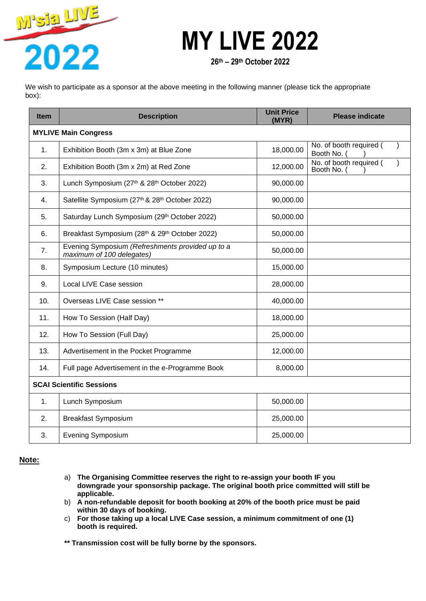

**26 th – 29 th October 2022**

We wish to participate as a sponsor at the above meeting in the following manner (please tick the appropriate box):

| <b>Item</b>                     | <b>Description</b>                                                            | <b>Unit Price</b><br>(MYR) | <b>Please indicate</b>               |  |  |
|---------------------------------|-------------------------------------------------------------------------------|----------------------------|--------------------------------------|--|--|
|                                 | <b>MYLIVE Main Congress</b>                                                   |                            |                                      |  |  |
| $\mathbf{1}$ .                  | Exhibition Booth (3m x 3m) at Blue Zone                                       | 18,000.00                  | No. of booth required (<br>Booth No. |  |  |
| 2.                              | Exhibition Booth (3m x 2m) at Red Zone                                        | 12,000.00                  | No. of booth required (<br>Booth No. |  |  |
| 3.                              | Lunch Symposium (27th & 28th October 2022)                                    | 90,000.00                  |                                      |  |  |
| 4.                              | Satellite Symposium (27th & 28th October 2022)                                | 90,000.00                  |                                      |  |  |
| 5.                              | Saturday Lunch Symposium (29th October 2022)                                  | 50,000.00                  |                                      |  |  |
| 6.                              | Breakfast Symposium (28th & 29th October 2022)                                | 50,000.00                  |                                      |  |  |
| 7.                              | Evening Symposium (Refreshments provided up to a<br>maximum of 100 delegates) | 50,000.00                  |                                      |  |  |
| 8.                              | Symposium Lecture (10 minutes)                                                | 15,000.00                  |                                      |  |  |
| 9.                              | Local LIVE Case session                                                       | 28,000.00                  |                                      |  |  |
| 10.                             | Overseas LIVE Case session **                                                 | 40,000.00                  |                                      |  |  |
| 11.                             | How To Session (Half Day)                                                     | 18,000.00                  |                                      |  |  |
| 12.                             | How To Session (Full Day)                                                     | 25,000.00                  |                                      |  |  |
| 13.                             | Advertisement in the Pocket Programme                                         | 12,000.00                  |                                      |  |  |
| 14.                             | Full page Advertisement in the e-Programme Book                               | 8,000.00                   |                                      |  |  |
| <b>SCAI Scientific Sessions</b> |                                                                               |                            |                                      |  |  |
| 1.                              | Lunch Symposium                                                               | 50,000.00                  |                                      |  |  |
| 2.                              | <b>Breakfast Symposium</b>                                                    | 25,000.00                  |                                      |  |  |
| 3.                              | <b>Evening Symposium</b>                                                      | 25,000.00                  |                                      |  |  |

#### **Note:**

- a) **The Organising Committee reserves the right to re-assign your booth IF you downgrade your sponsorship package. The original booth price committed will still be applicable.**
- b) **A non-refundable deposit for booth booking at 20% of the booth price must be paid within 30 days of booking.**
- c) **For those taking up a local LIVE Case session, a minimum commitment of one (1) booth is required.**

**\*\* Transmission cost will be fully borne by the sponsors.**